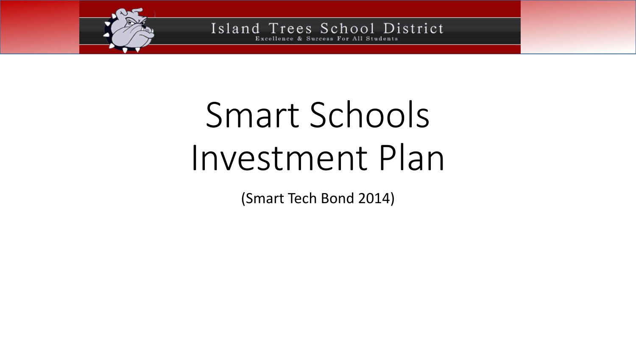

# Smart Schools Investment Plan

(Smart Tech Bond 2014)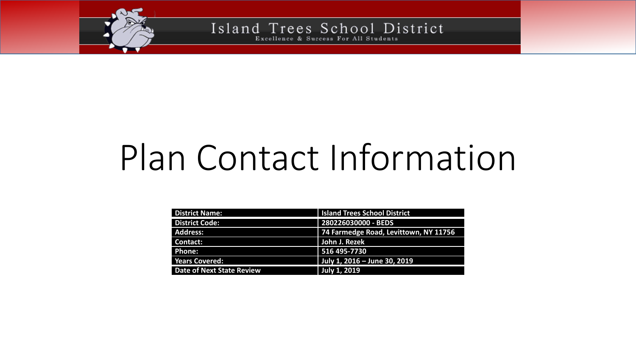

# Plan Contact Information

| <b>District Name:</b>     | <b>Island Trees School District</b>   |
|---------------------------|---------------------------------------|
| <b>District Code:</b>     | 280226030000 - BEDS                   |
| <b>Address:</b>           | 74 Farmedge Road, Levittown, NY 11756 |
| <b>Contact:</b>           | John J. Rezek                         |
| Phone:                    | 516 495-7730                          |
| <b>Years Covered:</b>     | July 1, 2016 - June 30, 2019          |
| Date of Next State Review | <b>July 1, 2019</b>                   |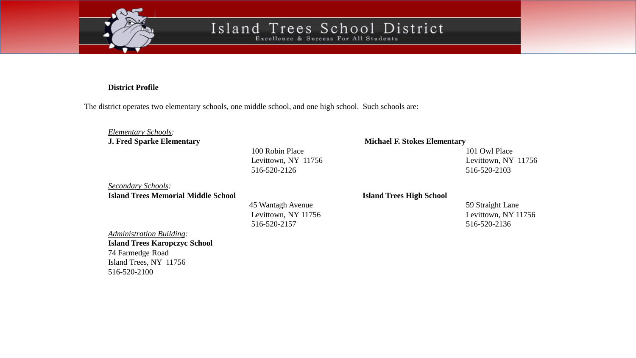

Excellence & Success For All Students

#### **District Profile**

The district operates two elementary schools, one middle school, and one high school. Such schools are:

#### *Elementary Schools:*

100 Robin Place 101 Owl Place 516-520-2126 516-520-2103

*Secondary Schools:* **Island Trees Memorial Middle School Island Trees High School**

> 45 Wantagh Avenue 59 Straight Lane Levittown, NY 11756 Levittown, NY 11756 516-520-2157 516-520-2136

#### **J. Fred Sparke Elementary Michael F. Stokes Elementary**

Levittown, NY 11756 Levittown, NY 11756

*Administration Building:*

**Island Trees Karopczyc School** 74 Farmedge Road Island Trees, NY 11756 516-520-2100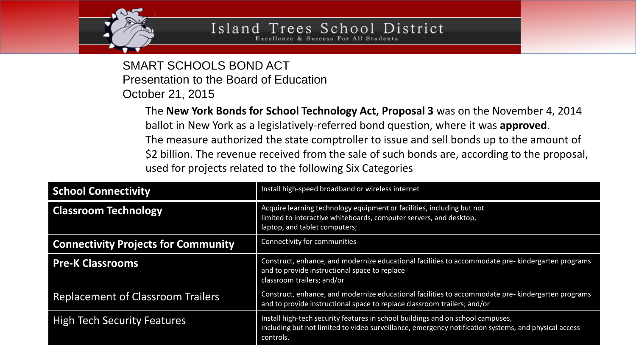

SMART SCHOOLS BOND ACT Presentation to the Board of Education October 21, 2015

> The **New York Bonds for School Technology Act, Proposal 3** was on the November 4, 2014 ballot in New York as a legislatively-referred bond question, where it was **approved**. The measure authorized the state comptroller to issue and sell bonds up to the amount of \$2 billion. The revenue received from the sale of such bonds are, according to the proposal, used for projects related to the following Six Categories

| <b>School Connectivity</b>                 | Install high-speed broadband or wireless internet                                                                                                                                                    |
|--------------------------------------------|------------------------------------------------------------------------------------------------------------------------------------------------------------------------------------------------------|
| <b>Classroom Technology</b>                | Acquire learning technology equipment or facilities, including but not<br>limited to interactive whiteboards, computer servers, and desktop,<br>laptop, and tablet computers;                        |
| <b>Connectivity Projects for Community</b> | Connectivity for communities                                                                                                                                                                         |
| <b>Pre-K Classrooms</b>                    | Construct, enhance, and modernize educational facilities to accommodate pre-kindergarten programs<br>and to provide instructional space to replace<br>classroom trailers; and/or                     |
| <b>Replacement of Classroom Trailers</b>   | Construct, enhance, and modernize educational facilities to accommodate pre- kindergarten programs<br>and to provide instructional space to replace classroom trailers; and/or                       |
| <b>High Tech Security Features</b>         | Install high-tech security features in school buildings and on school campuses,<br>including but not limited to video surveillance, emergency notification systems, and physical access<br>controls. |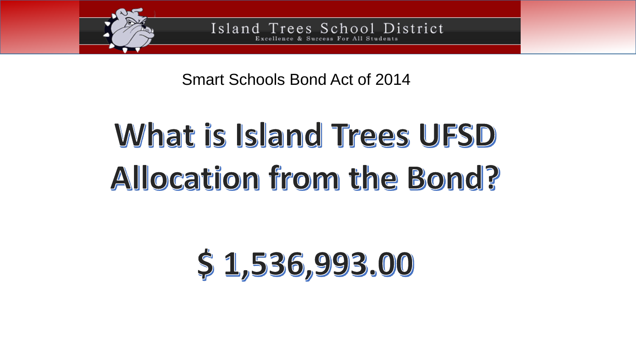

Island Trees School District Success For All Students

Smart Schools Bond Act of 2014

# What is Island Trees UFSD Allocation from the Bond?

# \$1,536,993.00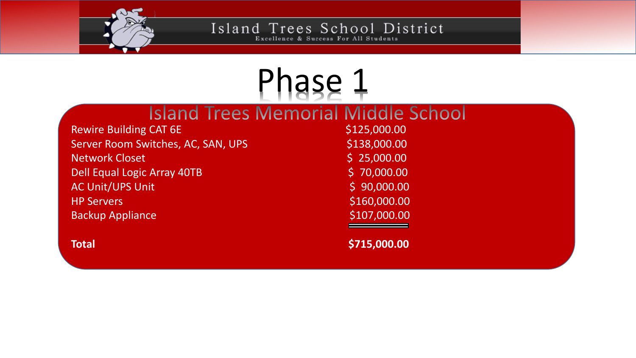

Excellence & Success For All Students

### Phase 1**Island Trees Memorial Middle School** Rewire Building CAT 6E **\$125,000.00** \$125,000.00 Server Room Switches, AC, SAN, UPS \$138,000.00 Network Closet 25,000.00 Dell Equal Logic Array 40TB  $\angle$  5 70,000.00 AC Unit/UPS Unit **AC Unit/UPS** Unit **AC Unit** AC Unit Access 199,000.00 HP Servers **Example 2018** S160,000.00 Backup Appliance \$107,000.00

**Total \$715,000.00**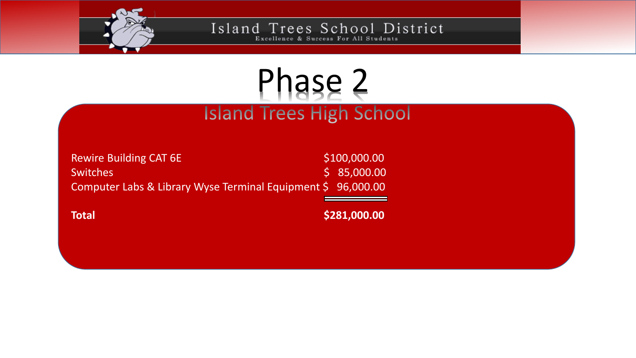

Excellence & Success For All Students

### Phase 2**Island Trees High School**

Rewire Building CAT 6E \$100,000.00 Switches \$ 85,000.00 Computer Labs & Library Wyse Terminal Equipment \$ 96,000.00

**Total \$281,000.00**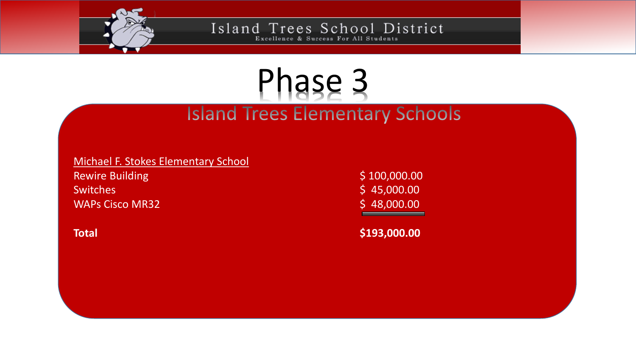

Excellence & Success For All Students

### Phase 3 **Island Trees Elementary Schools**

Michael F. Stokes Elementary School

Rewire Building **\$ 100,000.00**  $\frac{1}{2}$  Switches  $\frac{1}{2}$   $\frac{1}{2}$   $\frac{1}{2}$   $\frac{1}{2}$   $\frac{1}{2}$   $\frac{1}{2}$   $\frac{1}{2}$   $\frac{1}{2}$   $\frac{1}{2}$   $\frac{1}{2}$   $\frac{1}{2}$   $\frac{1}{2}$   $\frac{1}{2}$   $\frac{1}{2}$   $\frac{1}{2}$   $\frac{1}{2}$   $\frac{1}{2}$   $\frac{1}{2}$   $\frac{1}{2}$   $\frac{1}{2}$   $\$ WAPs Cisco MR32 \$48,000.00

**Total \$193,000.00**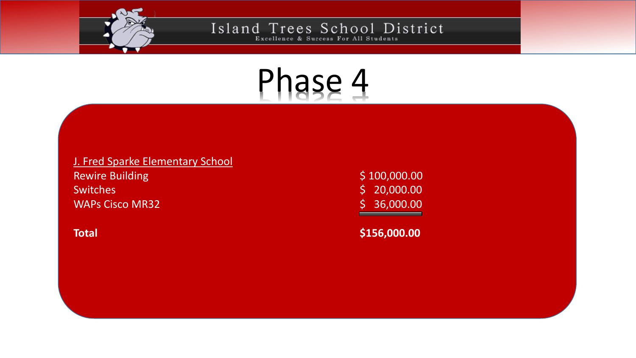



#### J. Fred Sparke Elementary School

Rewire Building **\$ 100,000.00 \$ 100,000.00** Switches \$ 20,000.00 WAPs Cisco MR32 \$ 36,000.00

**Total \$156,000.00**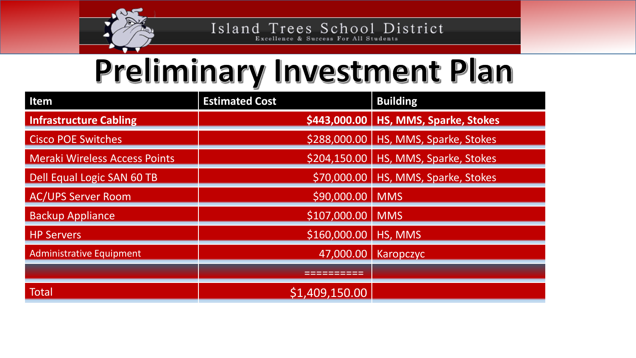

Excellence & Success For All Students

## Preliminary Investment Plan

| Item                                 | <b>Estimated Cost</b> | <b>Building</b>                         |
|--------------------------------------|-----------------------|-----------------------------------------|
| <b>Infrastructure Cabling</b>        |                       | \$443,000.00   HS, MMS, Sparke, Stokes  |
| <b>Cisco POE Switches</b>            |                       | \$288,000.00   HS, MMS, Sparke, Stokes  |
| <b>Meraki Wireless Access Points</b> |                       | $$204,150.00$   HS, MMS, Sparke, Stokes |
| Dell Equal Logic SAN 60 TB           |                       | $$70,000.00$   HS, MMS, Sparke, Stokes  |
| <b>AC/UPS Server Room</b>            | \$90,000.00           | <b>MMS</b>                              |
| <b>Backup Appliance</b>              | \$107,000.00          | <b>MMS</b>                              |
| <b>HP Servers</b>                    | \$160,000.00          | HS, MMS                                 |
| Administrative Equipment             | 47,000.00             | Karopczyc                               |
|                                      |                       |                                         |
| <b>Total</b>                         | \$1,409,150.00        |                                         |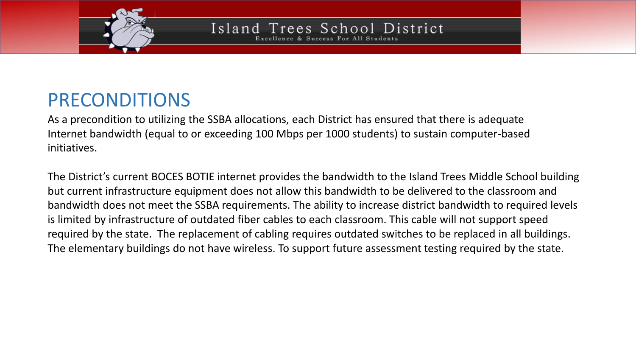

Excellence & Success For All Students

### PRECONDITIONS

As a precondition to utilizing the SSBA allocations, each District has ensured that there is adequate Internet bandwidth (equal to or exceeding 100 Mbps per 1000 students) to sustain computer-based initiatives.

The District's current BOCES BOTIE internet provides the bandwidth to the Island Trees Middle School building but current infrastructure equipment does not allow this bandwidth to be delivered to the classroom and bandwidth does not meet the SSBA requirements. The ability to increase district bandwidth to required levels is limited by infrastructure of outdated fiber cables to each classroom. This cable will not support speed required by the state. The replacement of cabling requires outdated switches to be replaced in all buildings. The elementary buildings do not have wireless. To support future assessment testing required by the state.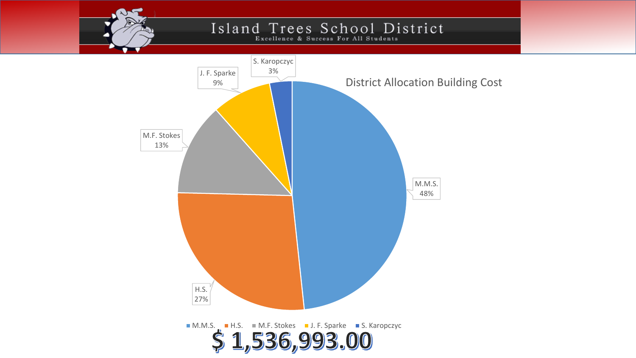Excellence & Success For All Students